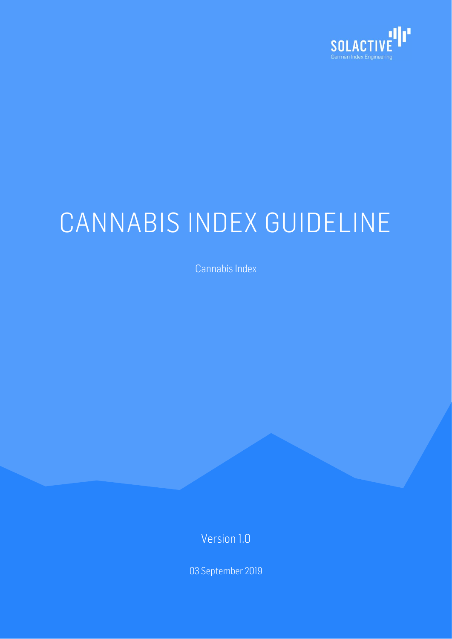

# CANNABIS INDEX GUIDELINE

Cannabis Index

Version 1.0

03 September 2019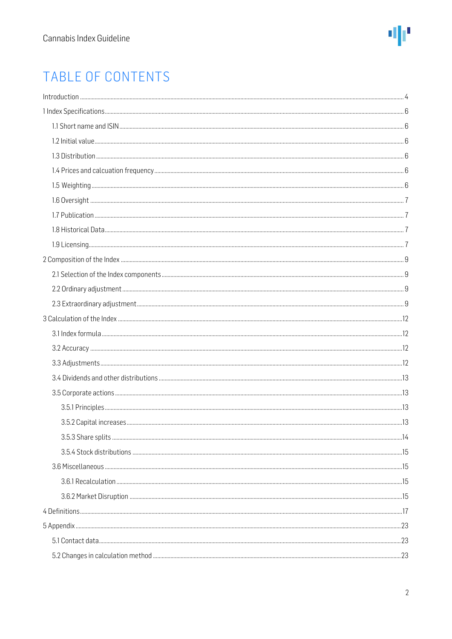# TABLE OF CONTENTS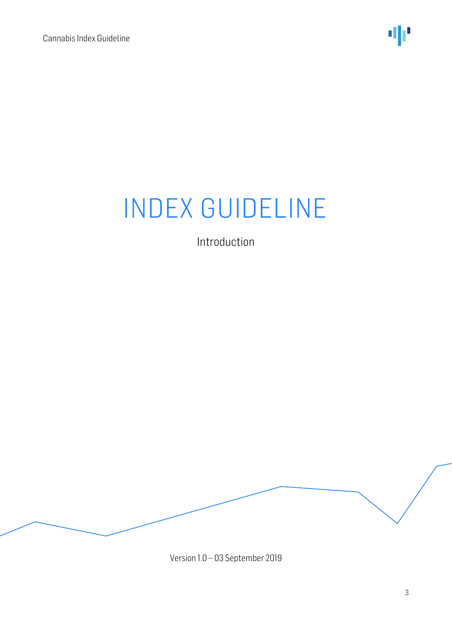

Introduction

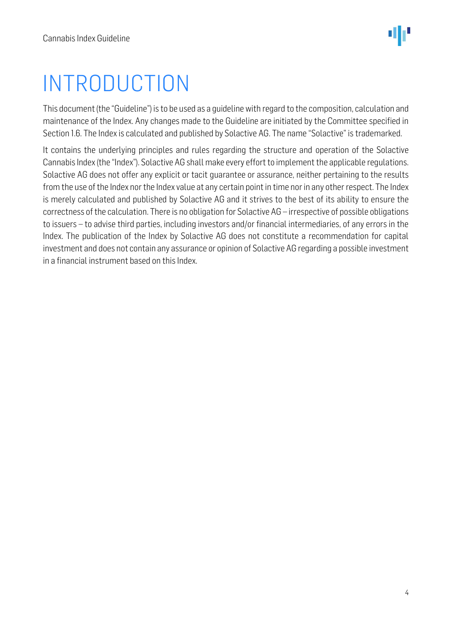# <span id="page-3-0"></span>INTRODUCTION

This document (the "Guideline") is to be used as a guideline with regard to the composition, calculation and maintenance of the Index. Any changes made to the Guideline are initiated by the Committee specified in Section 1.6. The Index is calculated and published by Solactive AG. The name "Solactive" is trademarked.

It contains the underlying principles and rules regarding the structure and operation of the Solactive Cannabis Index (the "Index"). Solactive AG shall make every effort to implement the applicable regulations. Solactive AG does not offer any explicit or tacit guarantee or assurance, neither pertaining to the results from the use of the Index nor the Index value at any certain point in time nor in any other respect. The Index is merely calculated and published by Solactive AG and it strives to the best of its ability to ensure the correctness of the calculation. There is no obligation for Solactive AG – irrespective of possible obligations to issuers – to advise third parties, including investors and/or financial intermediaries, of any errors in the Index. The publication of the Index by Solactive AG does not constitute a recommendation for capital investment and does not contain any assurance or opinion of Solactive AG regarding a possible investment in a financial instrument based on this Index.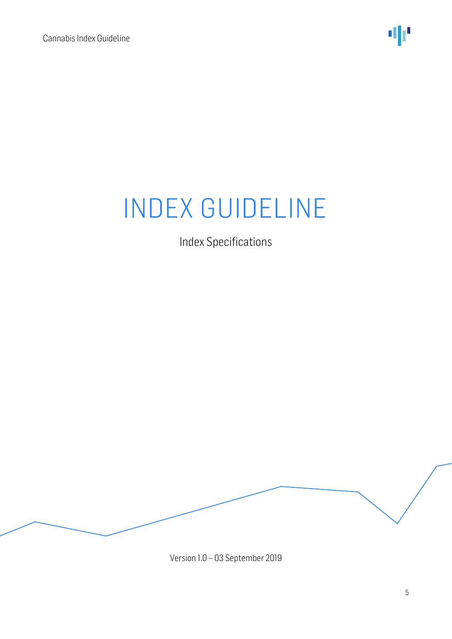Index Specifications

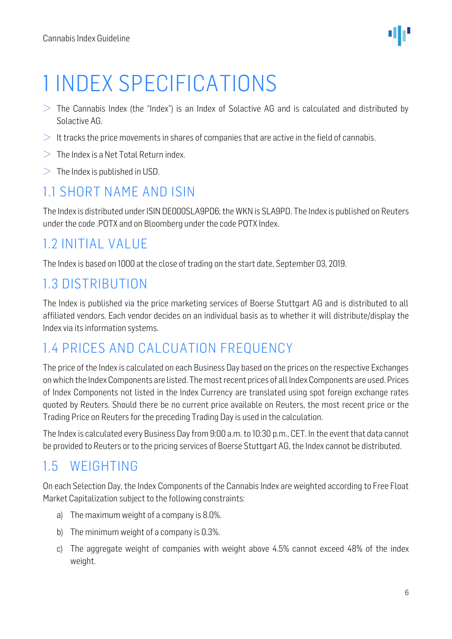# <span id="page-5-0"></span>1 INDEX SPECIFICATIONS

- $>$  The Cannabis Index (the "Index") is an Index of Solactive AG and is calculated and distributed by Solactive AG.
- $\geq$  It tracks the price movements in shares of companies that are active in the field of cannabis.
- $>$  The Index is a Net Total Return index.
- $>$  The Index is published in USD.

## <span id="page-5-1"></span>1.1 SHORT NAME AND ISIN

The Index is distributed under ISIN DE000SLA9PD6; the WKN is SLA9PD. The Index is published on Reuters under the code .POTX and on Bloomberg under the code POTX Index.

## <span id="page-5-2"></span>1.2 INITIAL VALUE

The Index is based on 1000 at the close of trading on the start date, September 03, 2019.

## <span id="page-5-3"></span>1.3 DISTRIBUTION

The Index is published via the price marketing services of Boerse Stuttgart AG and is distributed to all affiliated vendors. Each vendor decides on an individual basis as to whether it will distribute/display the Index via its information systems.

## <span id="page-5-4"></span>1.4 PRICES AND CALCUATION FREQUENCY

The price of the Index is calculated on each Business Day based on the prices on the respective Exchanges on which the Index Components are listed. The most recent prices of all Index Components are used. Prices of Index Components not listed in the Index Currency are translated using spot foreign exchange rates quoted by Reuters. Should there be no current price available on Reuters, the most recent price or the Trading Price on Reuters for the preceding Trading Day is used in the calculation.

The Index is calculated every Business Day from 9:00 a.m. to 10:30 p.m., CET. In the event that data cannot be provided to Reuters or to the pricing services of Boerse Stuttgart AG, the Index cannot be distributed.

### <span id="page-5-5"></span>1.5 WEIGHTING

On each Selection Day, the Index Components of the Cannabis Index are weighted according to Free Float Market Capitalization subject to the following constraints:

- a) The maximum weight of a company is 8.0%.
- b) The minimum weight of a company is 0.3%.
- c) The aggregate weight of companies with weight above 4.5% cannot exceed 48% of the index weight.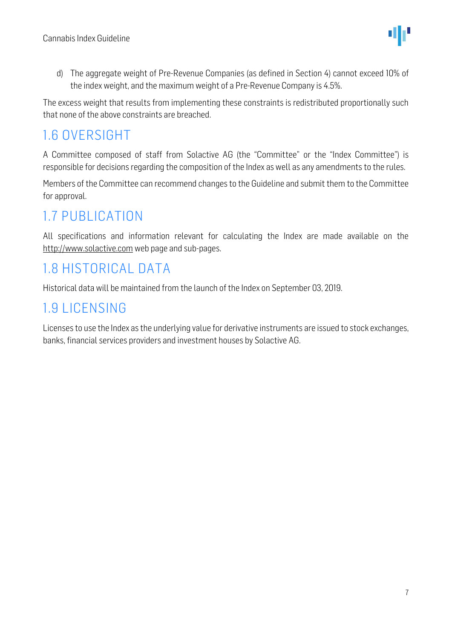d) The aggregate weight of Pre-Revenue Companies (as defined in Section 4) cannot exceed 10% of the index weight, and the maximum weight of a Pre-Revenue Company is 4.5%.

The excess weight that results from implementing these constraints is redistributed proportionally such that none of the above constraints are breached.

### <span id="page-6-0"></span>1.6 OVERSIGHT

A Committee composed of staff from Solactive AG (the "Committee" or the "Index Committee") is responsible for decisions regarding the composition of the Index as well as any amendments to the rules.

Members of the Committee can recommend changes to the Guideline and submit them to the Committee for approval.

# <span id="page-6-1"></span>1.7 PUBLICATION

All specifications and information relevant for calculating the Index are made available on the [http://www.solactive.com](http://www.solactive.com/) web page and sub-pages.

# <span id="page-6-2"></span>1.8 HISTORICAL DATA

Historical data will be maintained from the launch of the Index on September 03, 2019.

### <span id="page-6-3"></span>1.9 LICENSING

Licenses to use the Index as the underlying value for derivative instruments are issued to stock exchanges, banks, financial services providers and investment houses by Solactive AG.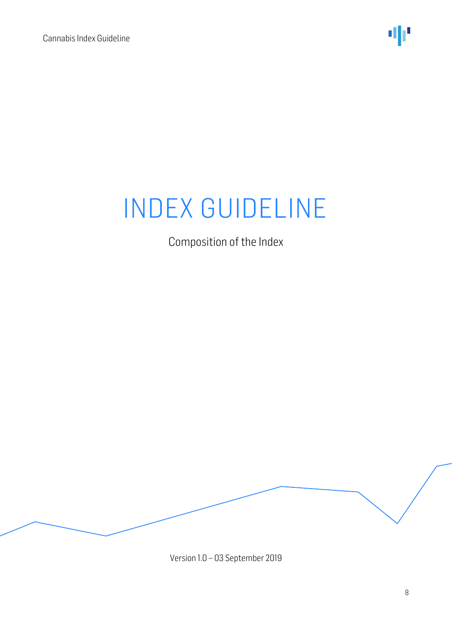

Composition of the Index

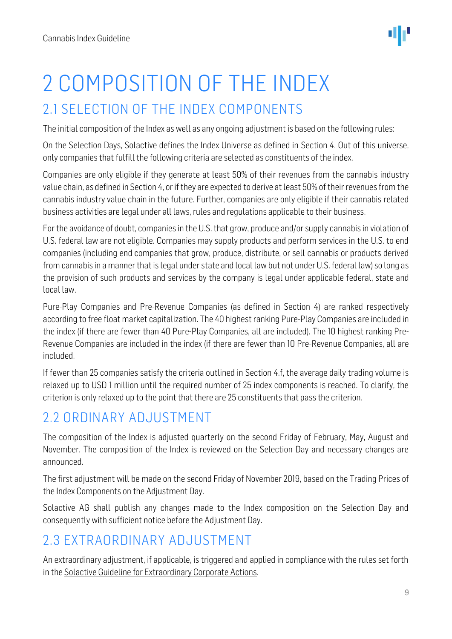# <span id="page-8-0"></span>2 COMPOSITION OF THE INDEX 2.1 SELECTION OF THE INDEX COMPONENTS

<span id="page-8-1"></span>The initial composition of the Index as well as any ongoing adjustment is based on the following rules:

On the Selection Days, Solactive defines the Index Universe as defined in Section 4. Out of this universe, only companies that fulfill the following criteria are selected as constituents of the index.

Companies are only eligible if they generate at least 50% of their revenues from the cannabis industry value chain, as defined in Section 4, or if they are expected to derive at least 50% of their revenues from the cannabis industry value chain in the future. Further, companies are only eligible if their cannabis related business activities are legal under all laws, rules and regulations applicable to their business.

For the avoidance of doubt, companies in the U.S. that grow, produce and/or supply cannabis in violation of U.S. federal law are not eligible. Companies may supply products and perform services in the U.S. to end companies (including end companies that grow, produce, distribute, or sell cannabis or products derived from cannabis in a manner that is legal under state and local law but not under U.S. federal law) so long as the provision of such products and services by the company is legal under applicable federal, state and local law.

Pure-Play Companies and Pre-Revenue Companies (as defined in Section 4) are ranked respectively according to free float market capitalization. The 40 highest ranking Pure-Play Companies are included in the index (if there are fewer than 40 Pure-Play Companies, all are included). The 10 highest ranking Pre-Revenue Companies are included in the index (if there are fewer than 10 Pre-Revenue Companies, all are included.

If fewer than 25 companies satisfy the criteria outlined in Section 4.f, the average daily trading volume is relaxed up to USD 1 million until the required number of 25 index components is reached. To clarify, the criterion is only relaxed up to the point that there are 25 constituents that pass the criterion.

# <span id="page-8-2"></span>2.2 ORDINARY ADJUSTMENT

The composition of the Index is adjusted quarterly on the second Friday of February, May, August and November. The composition of the Index is reviewed on the Selection Day and necessary changes are announced.

The first adjustment will be made on the second Friday of November 2019, based on the Trading Prices of the Index Components on the Adjustment Day.

Solactive AG shall publish any changes made to the Index composition on the Selection Day and consequently with sufficient notice before the Adjustment Day.

# <span id="page-8-3"></span>2.3 EXTRAORDINARY ADJUSTMENT

An extraordinary adjustment, if applicable, is triggered and applied in compliance with the rules set forth in th[e Solactive Guideline for Extraordinary Corporate Actions.](http://www.solactive.com/news/documents/)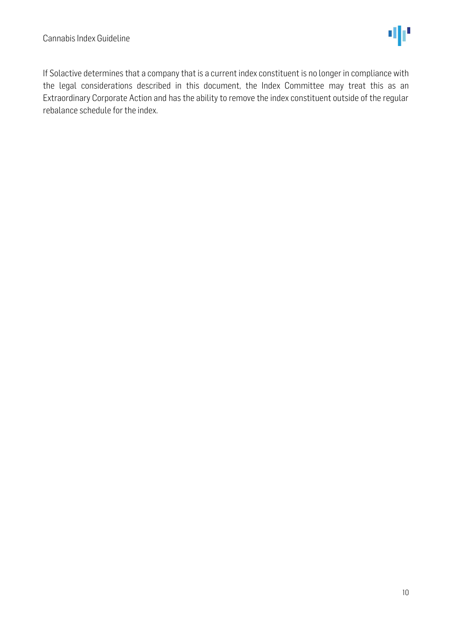If Solactive determines that a company that is a current index constituent is no longer in compliance with the legal considerations described in this document, the Index Committee may treat this as an Extraordinary Corporate Action and has the ability to remove the index constituent outside of the regular rebalance schedule for the index.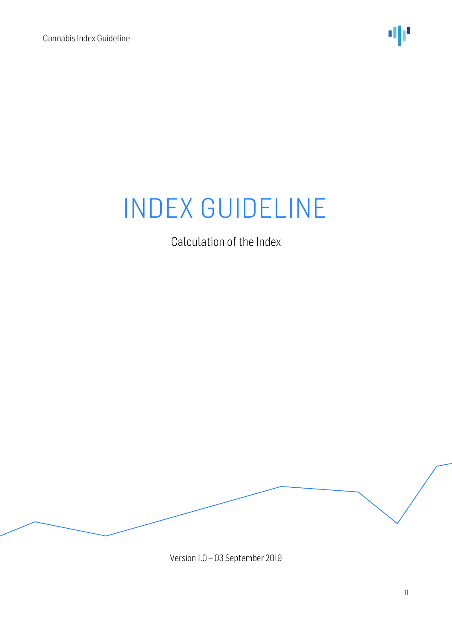

Calculation of the Index

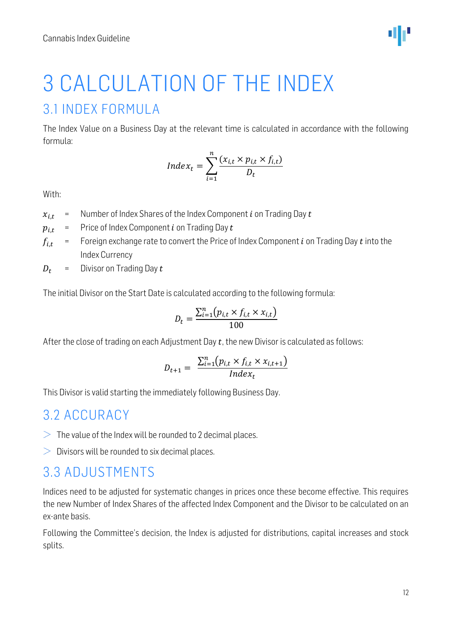<span id="page-11-0"></span>

#### <span id="page-11-1"></span>The Index Value on a Business Day at the relevant time is calculated in accordance with the following formula:

$$
Index_t = \sum_{i=1}^{n} \frac{(x_{i,t} \times p_{i,t} \times f_{i,t})}{D_t}
$$

With:

- $x_{i,t}$  = Number of Index Shares of the Index Component *i* on Trading Day *t*
- $p_{i,t}$  = Price of Index Component *i* on Trading Day *t*
- $f_{i,t}$  = Foreign exchange rate to convert the Price of Index Component *i* on Trading Day *t* into the Index Currency
- $D_t$  = Divisor on Trading Day  $t$

The initial Divisor on the Start Date is calculated according to the following formula:

$$
D_t = \frac{\sum_{i=1}^{n} (p_{i,t} \times f_{i,t} \times x_{i,t})}{100}
$$

After the close of trading on each Adjustment Day  $t$ , the new Divisor is calculated as follows:

$$
D_{t+1} = \frac{\sum_{i=1}^{n} (p_{i,t} \times f_{i,t} \times x_{i,t+1})}{Index_t}
$$

This Divisor is valid starting the immediately following Business Day.

#### <span id="page-11-2"></span>3.2 ACCURACY

- $>$  The value of the Index will be rounded to 2 decimal places.
- $\geq 0$  Divisors will be rounded to six decimal places.

#### <span id="page-11-3"></span>3.3 ADJUSTMENTS

Indices need to be adjusted for systematic changes in prices once these become effective. This requires the new Number of Index Shares of the affected Index Component and the Divisor to be calculated on an ex-ante basis.

Following the Committee's decision, the Index is adjusted for distributions, capital increases and stock splits.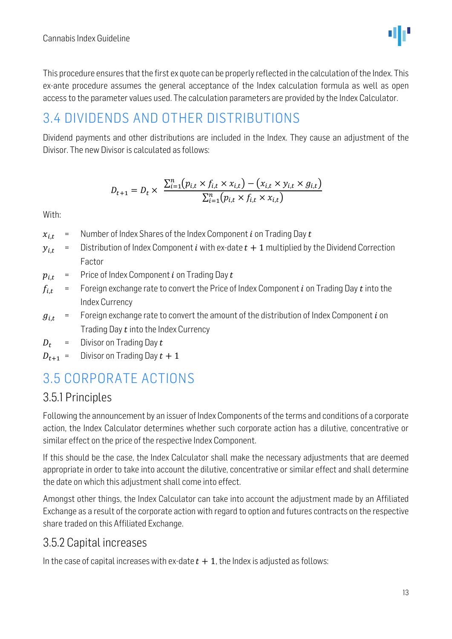

This procedure ensures that the first ex quote can be properly reflected in the calculation of the Index. This ex-ante procedure assumes the general acceptance of the Index calculation formula as well as open access to the parameter values used. The calculation parameters are provided by the Index Calculator.

## <span id="page-12-0"></span>3.4 DIVIDENDS AND OTHER DISTRIBUTIONS

Dividend payments and other distributions are included in the Index. They cause an adjustment of the Divisor. The new Divisor is calculated as follows:

$$
D_{t+1} = D_t \times \frac{\sum_{i=1}^{n} (p_{i,t} \times f_{i,t} \times x_{i,t}) - (x_{i,t} \times y_{i,t} \times g_{i,t})}{\sum_{i=1}^{n} (p_{i,t} \times f_{i,t} \times x_{i,t})}
$$

With:

- $x_{i,t}$  = Number of Index Shares of the Index Component *i* on Trading Day *t*
- $y_{i,t}$  = Distribution of Index Component *i* with ex-date  $t + 1$  multiplied by the Dividend Correction Factor
- $p_{i,t}$  = Price of Index Component *i* on Trading Day *t*
- $f_{i,t}$  = Foreign exchange rate to convert the Price of Index Component *i* on Trading Day *t* into the Index Currency
- $g_{i,t}$  = Foreign exchange rate to convert the amount of the distribution of Index Component *i* on Trading Day  $t$  into the Index Currency
- $D_t$  = Divisor on Trading Day t
- $D_{t+1}$  = Divisor on Trading Day  $t + 1$

# <span id="page-12-1"></span>3.5 CORPORATE ACTIONS

#### <span id="page-12-2"></span>3.5.1 Principles

Following the announcement by an issuer of Index Components of the terms and conditions of a corporate action, the Index Calculator determines whether such corporate action has a dilutive, concentrative or similar effect on the price of the respective Index Component.

If this should be the case, the Index Calculator shall make the necessary adjustments that are deemed appropriate in order to take into account the dilutive, concentrative or similar effect and shall determine the date on which this adjustment shall come into effect.

Amongst other things, the Index Calculator can take into account the adjustment made by an Affiliated Exchange as a result of the corporate action with regard to option and futures contracts on the respective share traded on this Affiliated Exchange.

#### <span id="page-12-3"></span>3.5.2 Capital increases

In the case of capital increases with ex-date  $t + 1$ , the Index is adjusted as follows: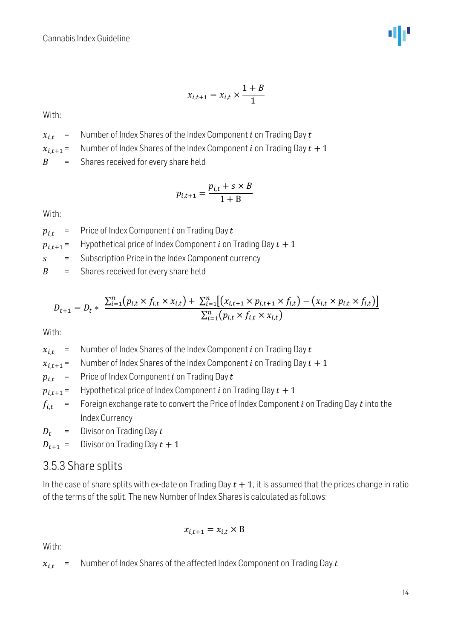

$$
x_{i,t+1} = x_{i,t} \times \frac{1+B}{1}
$$

With:

- $x_{i,t}$  = Number of Index Shares of the Index Component *i* on Trading Day *t*
- $x_{i,t+1}$  = Number of Index Shares of the Index Component *i* on Trading Day  $t + 1$

 $B =$  Shares received for every share held

$$
p_{i,t+1} = \frac{p_{i,t} + s \times B}{1 + B}
$$

With:

 $p_{i,t}$  = Price of Index Component *i* on Trading Day *t* 

 $p_{i,t+1}$  = Hypothetical price of Index Component *i* on Trading Day  $t + 1$ 

= Subscription Price in the Index Component currency

 $B =$  Shares received for every share held

$$
D_{t+1} = D_t * \frac{\sum_{i=1}^{n} (p_{i,t} \times f_{i,t} \times x_{i,t}) + \sum_{i=1}^{n} [(x_{i,t+1} \times p_{i,t+1} \times f_{i,t}) - (x_{i,t} \times p_{i,t} \times f_{i,t})]}{\sum_{i=1}^{n} (p_{i,t} \times f_{i,t} \times x_{i,t})}
$$

With:

 $x_{i,t}$  = Number of Index Shares of the Index Component *i* on Trading Day *t* 

 $x_{i,t+1}$  = Number of Index Shares of the Index Component *i* on Trading Day  $t + 1$ 

 $p_{i,t}$  = Price of Index Component *i* on Trading Day *t* 

 $p_{i,t+1}$  = Hypothetical price of Index Component *i* on Trading Day  $t + 1$ 

 $f_{i,t}$  = Foreign exchange rate to convert the Price of Index Component *i* on Trading Day *t* into the Index Currency

 $D_t$  = Divisor on Trading Day  $t$ 

 $D_{t+1}$  = Divisor on Trading Day  $t + 1$ 

#### <span id="page-13-0"></span>3.5.3 Share splits

In the case of share splits with ex-date on Trading Day  $t + 1$ , it is assumed that the prices change in ratio of the terms of the split. The new Number of Index Shares is calculated as follows:

$$
x_{i,t+1} = x_{i,t} \times B
$$

With:

 $x_{i,t}$  = Number of Index Shares of the affected Index Component on Trading Day t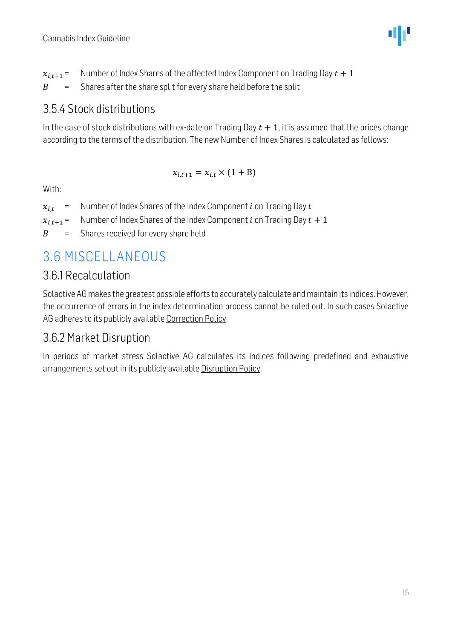$x_{i,t+1}$  = Number of Index Shares of the affected Index Component on Trading Day  $t + 1$  $B =$  Shares after the share split for every share held before the split

#### <span id="page-14-0"></span>3.5.4 Stock distributions

In the case of stock distributions with ex-date on Trading Day  $t + 1$ , it is assumed that the prices change according to the terms of the distribution. The new Number of Index Shares is calculated as follows:

$$
x_{i,t+1} = x_{i,t} \times (1 + B)
$$

With:

| Number of Index Shares of the Index Component $i$ on Trading Day $t$<br>$x_{i,t}$ |
|-----------------------------------------------------------------------------------|
|-----------------------------------------------------------------------------------|

- $x_{i,t+1}$  = Number of Index Shares of the Index Component *i* on Trading Day  $t + 1$
- $B =$  Shares received for every share held

# <span id="page-14-1"></span>3.6 MISCELLANEOUS

#### <span id="page-14-2"></span>3.6.1 Recalculation

Solactive AG makes the greatest possible efforts to accurately calculate and maintain its indices. However, the occurrence of errors in the index determination process cannot be ruled out. In such cases Solactive AG adheres to its publicly available [Correction Policy.](http://www.solactive.com/news/documents/)

### <span id="page-14-3"></span>3.6.2 Market Disruption

In periods of market stress Solactive AG calculates its indices following predefined and exhaustive arrangements set out in its publicly available [Disruption Policy.](http://www.solactive.com/news/documents/)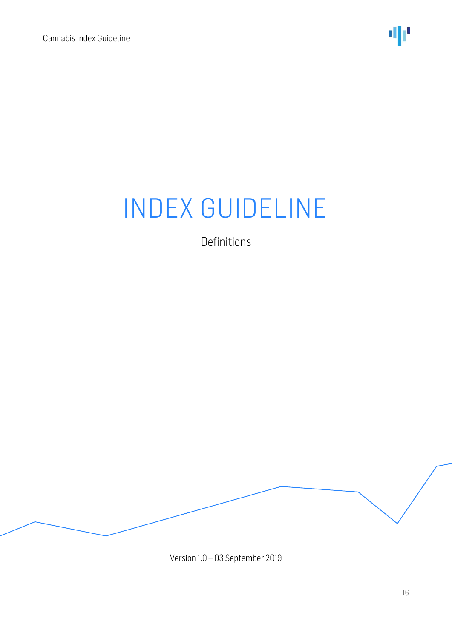

Definitions

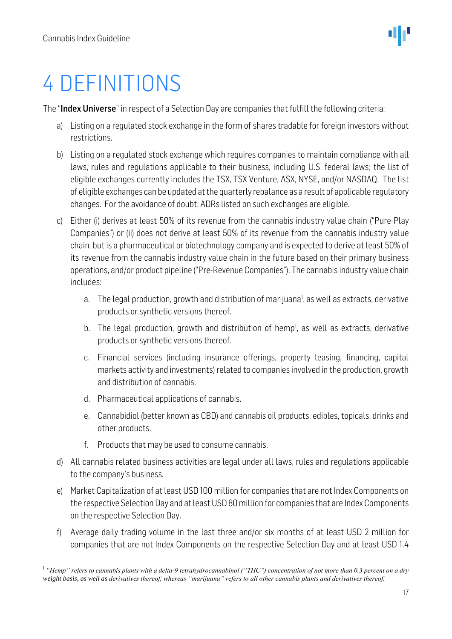# <span id="page-16-0"></span>4 DEFINITIONS

The "Index Universe" in respect of a Selection Day are companies that fulfill the following criteria:

- a) Listing on a regulated stock exchange in the form of shares tradable for foreign investors without restrictions.
- b) Listing on a regulated stock exchange which requires companies to maintain compliance with all laws, rules and regulations applicable to their business, including U.S. federal laws; the list of eligible exchanges currently includes the TSX, TSX Venture, ASX, NYSE, and/or NASDAQ. The list of eligible exchanges can be updated at the quarterly rebalance as a result of applicable regulatory changes. For the avoidance of doubt, ADRs listed on such exchanges are eligible.
- c) Either (i) derives at least 50% of its revenue from the cannabis industry value chain ("Pure-Play Companies") or (ii) does not derive at least 50% of its revenue from the cannabis industry value chain, but is a pharmaceutical or biotechnology company and is expected to derive at least 50% of its revenue from the cannabis industry value chain in the future based on their primary business operations, and/or product pipeline ("Pre-Revenue Companies"). The cannabis industry value chain includes:
	- a. The legal production, growth and distribution of marijuana<sup>1</sup>, as well as extracts, derivative products or synthetic versions thereof.
	- b. The legal production, growth and distribution of hemp<sup>1</sup>, as well as extracts, derivative products or synthetic versions thereof.
	- c. Financial services (including insurance offerings, property leasing, financing, capital markets activity and investments) related to companies involved in the production, growth and distribution of cannabis.
	- d. Pharmaceutical applications of cannabis.
	- e. Cannabidiol (better known as CBD) and cannabis oil products, edibles, topicals, drinks and other products.
	- f. Products that may be used to consume cannabis.
- d) All cannabis related business activities are legal under all laws, rules and regulations applicable to the company's business.
- e) Market Capitalization of at least USD 100 million for companies that are not Index Components on the respective Selection Day and at least USD 80million for companies that are Index Components on the respective Selection Day.
- f) Average daily trading volume in the last three and/or six months of at least USD 2 million for companies that are not Index Components on the respective Selection Day and at least USD 1.4

<sup>&</sup>lt;sup>1</sup> "Hemp" refers to cannabis plants with a delta-9 tetrahydrocannabinol ("THC") concentration of not more than 0.3 percent on a dry *weight basis, as well as derivatives thereof, whereas "marijuana" refers to all other cannabis plants and derivatives thereof.*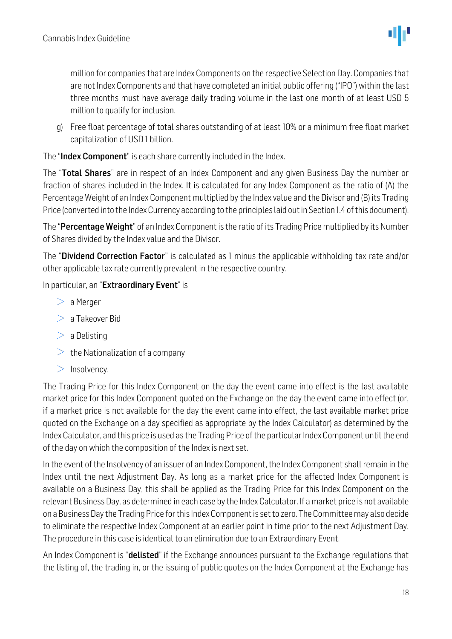million for companies that are Index Components on the respective Selection Day. Companies that are not Index Components and that have completed an initial public offering ("IPO") within the last three months must have average daily trading volume in the last one month of at least USD 5 million to qualify for inclusion.

g) Free float percentage of total shares outstanding of at least 10% or a minimum free float market capitalization of USD 1 billion.

The "Index Component" is each share currently included in the Index.

The "Total Shares" are in respect of an Index Component and any given Business Day the number or fraction of shares included in the Index. It is calculated for any Index Component as the ratio of (A) the Percentage Weight of an Index Component multiplied by the Index value and the Divisor and (B) its Trading Price (converted into the Index Currency according to the principles laid out in Section 1.4 of this document).

The "Percentage Weight" of an Index Component is the ratio of its Trading Price multiplied by its Number of Shares divided by the Index value and the Divisor.

The "Dividend Correction Factor" is calculated as 1 minus the applicable withholding tax rate and/or other applicable tax rate currently prevalent in the respective country.

#### In particular, an "Extraordinary Event" is

- $>$  a Merger
- $> a$  Takeover Bid
- $>$  a Delisting
- $\geq$  the Nationalization of a company
- $>$  Insolvency.

The Trading Price for this Index Component on the day the event came into effect is the last available market price for this Index Component quoted on the Exchange on the day the event came into effect (or, if a market price is not available for the day the event came into effect, the last available market price quoted on the Exchange on a day specified as appropriate by the Index Calculator) as determined by the Index Calculator, and this price is used as the Trading Price of the particular Index Component until the end of the day on which the composition of the Index is next set.

In the event of the Insolvency of an issuer of an Index Component, the Index Component shall remain in the Index until the next Adjustment Day. As long as a market price for the affected Index Component is available on a Business Day, this shall be applied as the Trading Price for this Index Component on the relevant Business Day, as determined in each case by the Index Calculator. If a market price is not available on a Business Day the Trading Price for this Index Component is set to zero. The Committee may also decide to eliminate the respective Index Component at an earlier point in time prior to the next Adjustment Day. The procedure in this case is identical to an elimination due to an Extraordinary Event.

An Index Component is "**delisted**" if the Exchange announces pursuant to the Exchange regulations that the listing of, the trading in, or the issuing of public quotes on the Index Component at the Exchange has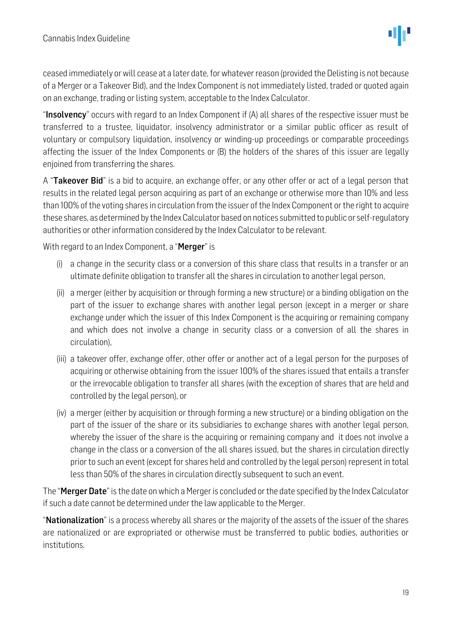ceased immediately or will cease at a later date, for whatever reason (provided the Delisting is not because of a Merger or a Takeover Bid), and the Index Component is not immediately listed, traded or quoted again on an exchange, trading or listing system, acceptable to the Index Calculator.

"**Insolvency**" occurs with regard to an Index Component if (A) all shares of the respective issuer must be transferred to a trustee, liquidator, insolvency administrator or a similar public officer as result of voluntary or compulsory liquidation, insolvency or winding-up proceedings or comparable proceedings affecting the issuer of the Index Components or (B) the holders of the shares of this issuer are legally enjoined from transferring the shares.

A "Takeover Bid" is a bid to acquire, an exchange offer, or any other offer or act of a legal person that results in the related legal person acquiring as part of an exchange or otherwise more than 10% and less than 100% of the voting shares in circulation from the issuer of the Index Component or the right to acquire these shares, as determined by the Index Calculator based on notices submitted to public or self-regulatory authorities or other information considered by the Index Calculator to be relevant.

With regard to an Index Component, a "Merger" is

- (i) a change in the security class or a conversion of this share class that results in a transfer or an ultimate definite obligation to transfer all the shares in circulation to another legal person,
- (ii) a merger (either by acquisition or through forming a new structure) or a binding obligation on the part of the issuer to exchange shares with another legal person (except in a merger or share exchange under which the issuer of this Index Component is the acquiring or remaining company and which does not involve a change in security class or a conversion of all the shares in circulation),
- (iii) a takeover offer, exchange offer, other offer or another act of a legal person for the purposes of acquiring or otherwise obtaining from the issuer 100% of the shares issued that entails a transfer or the irrevocable obligation to transfer all shares (with the exception of shares that are held and controlled by the legal person), or
- (iv) a merger (either by acquisition or through forming a new structure) or a binding obligation on the part of the issuer of the share or its subsidiaries to exchange shares with another legal person, whereby the issuer of the share is the acquiring or remaining company and it does not involve a change in the class or a conversion of the all shares issued, but the shares in circulation directly prior to such an event (except for shares held and controlled by the legal person) represent in total less than 50% of the shares in circulation directly subsequent to such an event.

The "Merger Date" is the date on which a Merger is concluded or the date specified by the Index Calculator if such a date cannot be determined under the law applicable to the Merger.

"**Nationalization**" is a process whereby all shares or the majority of the assets of the issuer of the shares are nationalized or are expropriated or otherwise must be transferred to public bodies, authorities or institutions.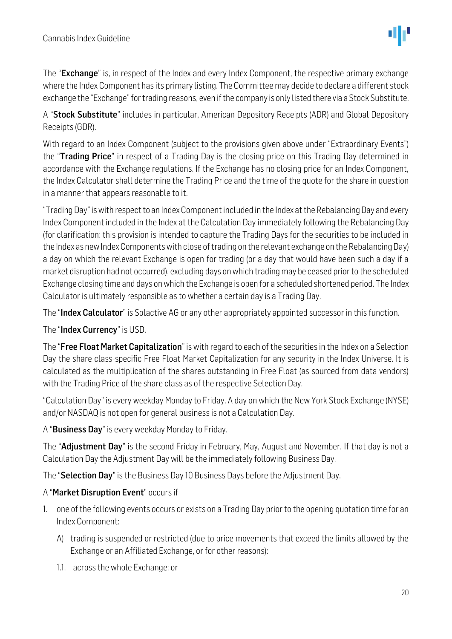The "Exchange" is, in respect of the Index and every Index Component, the respective primary exchange where the Index Component has its primary listing. The Committee may decide to declare a different stock exchange the "Exchange" for trading reasons, even if the company is only listed there via a Stock Substitute.

A "Stock Substitute" includes in particular, American Depository Receipts (ADR) and Global Depository Receipts (GDR).

With regard to an Index Component (subject to the provisions given above under "Extraordinary Events") the "Trading Price" in respect of a Trading Day is the closing price on this Trading Day determined in accordance with the Exchange regulations. If the Exchange has no closing price for an Index Component, the Index Calculator shall determine the Trading Price and the time of the quote for the share in question in a manner that appears reasonable to it.

"Trading Day" is with respect to an Index Component included in the Index at the Rebalancing Day and every Index Component included in the Index at the Calculation Day immediately following the Rebalancing Day (for clarification: this provision is intended to capture the Trading Days for the securities to be included in the Index as new Index Components with close of trading on the relevant exchange on the Rebalancing Day) a day on which the relevant Exchange is open for trading (or a day that would have been such a day if a market disruption had not occurred), excluding days on which trading may be ceased prior to the scheduled Exchange closing time and days on which the Exchange is open for a scheduled shortened period. The Index Calculator is ultimately responsible as to whether a certain day is a Trading Day.

The "Index Calculator" is Solactive AG or any other appropriately appointed successor in this function.

#### The "Index Currency" is USD.

The "Free Float Market Capitalization" is with regard to each of the securities in the Index on a Selection Day the share class-specific Free Float Market Capitalization for any security in the Index Universe. It is calculated as the multiplication of the shares outstanding in Free Float (as sourced from data vendors) with the Trading Price of the share class as of the respective Selection Day.

"Calculation Day" is every weekday Monday to Friday. A day on which the New York Stock Exchange (NYSE) and/or NASDAQ is not open for general business is not a Calculation Day.

A "Business Day" is every weekday Monday to Friday.

The "**Adjustment Day**" is the second Friday in February, May, August and November. If that day is not a Calculation Day the Adjustment Day will be the immediately following Business Day.

The "Selection Day" is the Business Day 10 Business Days before the Adjustment Day.

#### A "Market Disruption Event" occurs if

- 1. one of the following events occurs or exists on a Trading Day prior to the opening quotation time for an Index Component:
	- A) trading is suspended or restricted (due to price movements that exceed the limits allowed by the Exchange or an Affiliated Exchange, or for other reasons):
	- 1.1. across the whole Exchange; or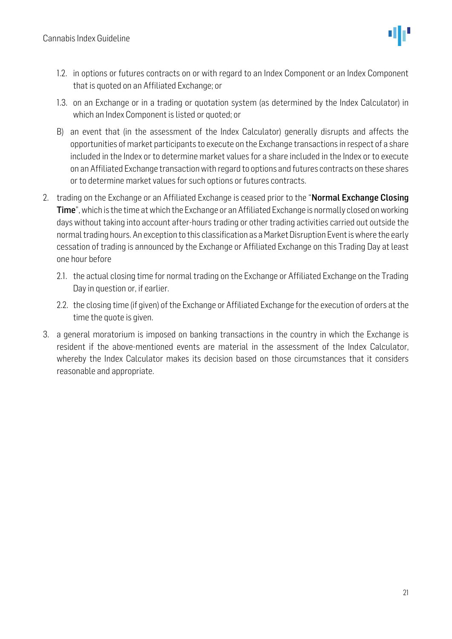- 1.2. in options or futures contracts on or with regard to an Index Component or an Index Component that is quoted on an Affiliated Exchange; or
- 1.3. on an Exchange or in a trading or quotation system (as determined by the Index Calculator) in which an Index Component is listed or quoted; or
- B) an event that (in the assessment of the Index Calculator) generally disrupts and affects the opportunities of market participants to execute on the Exchange transactions in respect of a share included in the Index or to determine market values for a share included in the Index or to execute on an Affiliated Exchange transaction with regard to options and futures contracts on these shares or to determine market values for such options or futures contracts.
- 2. trading on the Exchange or an Affiliated Exchange is ceased prior to the "Normal Exchange Closing Time", which is the time at which the Exchange or an Affiliated Exchange is normally closed on working days without taking into account after-hours trading or other trading activities carried out outside the normal trading hours. An exception to this classification as a Market Disruption Event is where the early cessation of trading is announced by the Exchange or Affiliated Exchange on this Trading Day at least one hour before
	- 2.1. the actual closing time for normal trading on the Exchange or Affiliated Exchange on the Trading Day in question or, if earlier.
	- 2.2. the closing time (if given) of the Exchange or Affiliated Exchange for the execution of orders at the time the quote is given.
- 3. a general moratorium is imposed on banking transactions in the country in which the Exchange is resident if the above-mentioned events are material in the assessment of the Index Calculator, whereby the Index Calculator makes its decision based on those circumstances that it considers reasonable and appropriate.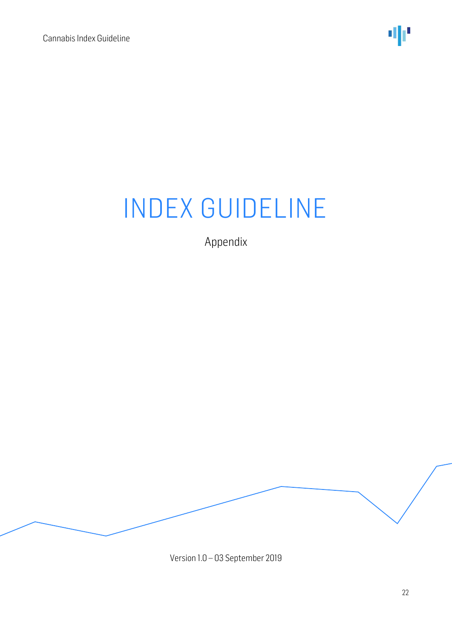

Appendix